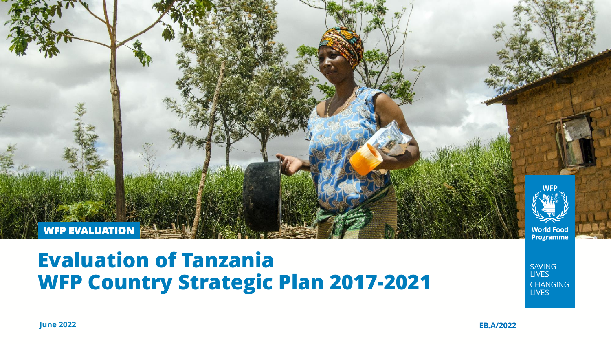

### **Evaluation of Tanzania WFP Country Strategic Plan 2017-2021**

**SAVING LIVES CHANGING LIVES** 

**June 2022 EB.A/2022**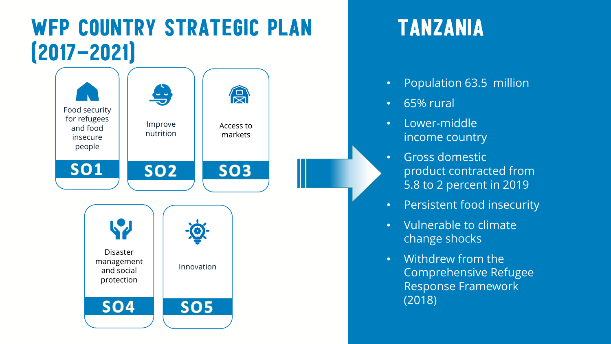## WFP COUNTRY STRATEGIC PLAN TANZANIA  $[2017 - 2021]$



- Population 63.5 million
- 65% rural
- Lower-middle income country
- Gross domestic product contracted from 5.8 to 2 percent in 2019
- Persistent food insecurity
- Vulnerable to climate change shocks
- Withdrew from the Comprehensive Refugee Response Framework (2018)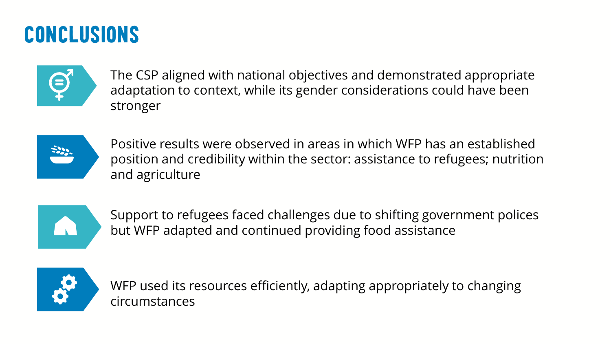# Conclusions



The CSP aligned with national objectives and demonstrated appropriate adaptation to context, while its gender considerations could have been stronger



Positive results were observed in areas in which WFP has an established position and credibility within the sector: assistance to refugees; nutrition and agriculture



Support to refugees faced challenges due to shifting government polices but WFP adapted and continued providing food assistance



WFP used its resources efficiently, adapting appropriately to changing circumstances